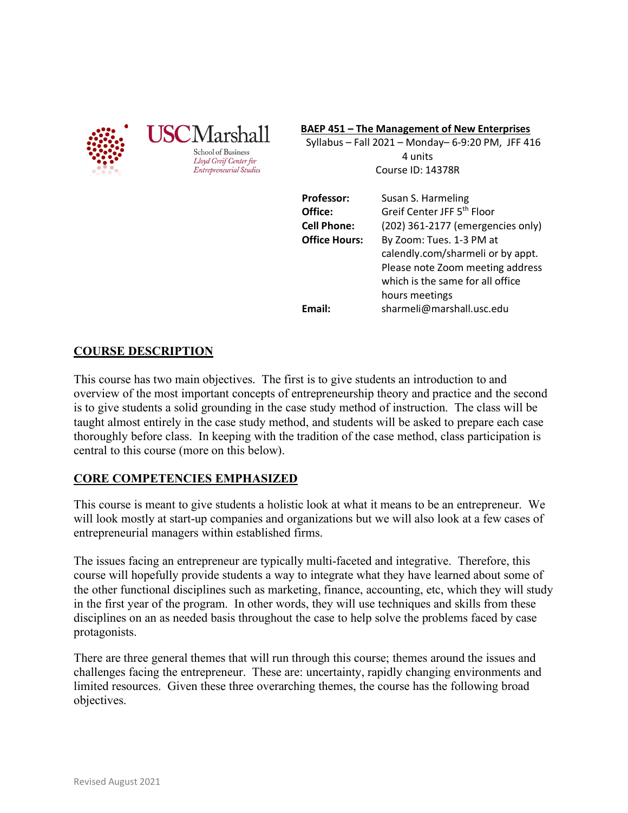

#### **BAEP 451 – The Management of New Enterprises**

 Syllabus – Fall 2021 – Monday– 6-9:20 PM, JFF 416 4 units Course ID: 14378R

| Professor:           | Susan S. Harmeling                     |
|----------------------|----------------------------------------|
| Office:              | Greif Center JFF 5 <sup>th</sup> Floor |
| <b>Cell Phone:</b>   | (202) 361-2177 (emergencies only)      |
| <b>Office Hours:</b> | By Zoom: Tues. 1-3 PM at               |
|                      | calendly.com/sharmeli or by appt.      |
|                      | Please note Zoom meeting address       |
|                      | which is the same for all office       |
|                      | hours meetings                         |
| Email:               | sharmeli@marshall.usc.edu              |

**COURSE DESCRIPTION** 

This course has two main objectives. The first is to give students an introduction to and overview of the most important concepts of entrepreneurship theory and practice and the second is to give students a solid grounding in the case study method of instruction. The class will be taught almost entirely in the case study method, and students will be asked to prepare each case thoroughly before class. In keeping with the tradition of the case method, class participation is central to this course (more on this below).

# **CORE COMPETENCIES EMPHASIZED**

This course is meant to give students a holistic look at what it means to be an entrepreneur. We will look mostly at start-up companies and organizations but we will also look at a few cases of entrepreneurial managers within established firms.

The issues facing an entrepreneur are typically multi-faceted and integrative. Therefore, this course will hopefully provide students a way to integrate what they have learned about some of the other functional disciplines such as marketing, finance, accounting, etc, which they will study in the first year of the program. In other words, they will use techniques and skills from these disciplines on an as needed basis throughout the case to help solve the problems faced by case protagonists.

There are three general themes that will run through this course; themes around the issues and challenges facing the entrepreneur. These are: uncertainty, rapidly changing environments and limited resources. Given these three overarching themes, the course has the following broad objectives.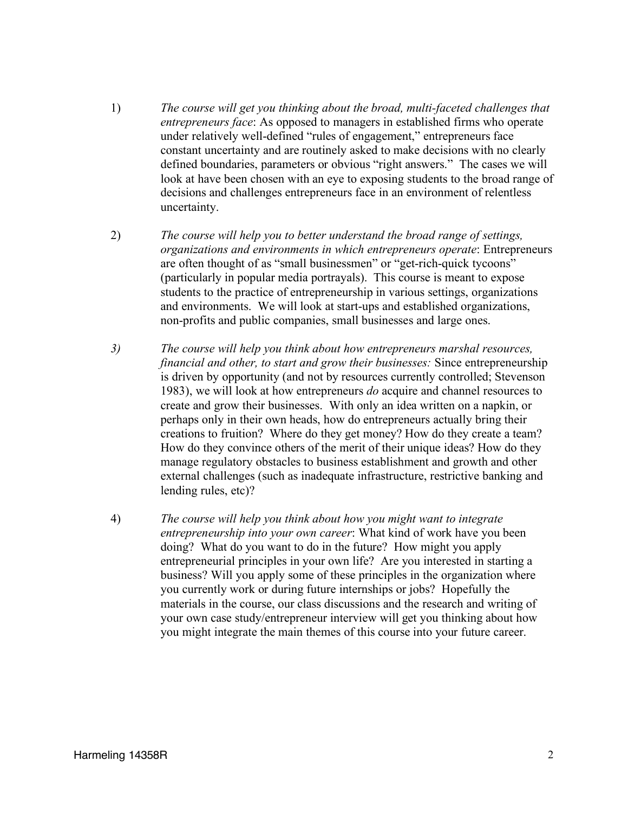- 1) *The course will get you thinking about the broad, multi-faceted challenges that entrepreneurs face*: As opposed to managers in established firms who operate under relatively well-defined "rules of engagement," entrepreneurs face constant uncertainty and are routinely asked to make decisions with no clearly defined boundaries, parameters or obvious "right answers." The cases we will look at have been chosen with an eye to exposing students to the broad range of decisions and challenges entrepreneurs face in an environment of relentless uncertainty.
- 2) *The course will help you to better understand the broad range of settings, organizations and environments in which entrepreneurs operate*: Entrepreneurs are often thought of as "small businessmen" or "get-rich-quick tycoons" (particularly in popular media portrayals). This course is meant to expose students to the practice of entrepreneurship in various settings, organizations and environments. We will look at start-ups and established organizations, non-profits and public companies, small businesses and large ones.
- *3) The course will help you think about how entrepreneurs marshal resources, financial and other, to start and grow their businesses:* Since entrepreneurship is driven by opportunity (and not by resources currently controlled; Stevenson 1983), we will look at how entrepreneurs *do* acquire and channel resources to create and grow their businesses. With only an idea written on a napkin, or perhaps only in their own heads, how do entrepreneurs actually bring their creations to fruition? Where do they get money? How do they create a team? How do they convince others of the merit of their unique ideas? How do they manage regulatory obstacles to business establishment and growth and other external challenges (such as inadequate infrastructure, restrictive banking and lending rules, etc)?
- 4) *The course will help you think about how you might want to integrate entrepreneurship into your own career*: What kind of work have you been doing? What do you want to do in the future? How might you apply entrepreneurial principles in your own life? Are you interested in starting a business? Will you apply some of these principles in the organization where you currently work or during future internships or jobs? Hopefully the materials in the course, our class discussions and the research and writing of your own case study/entrepreneur interview will get you thinking about how you might integrate the main themes of this course into your future career.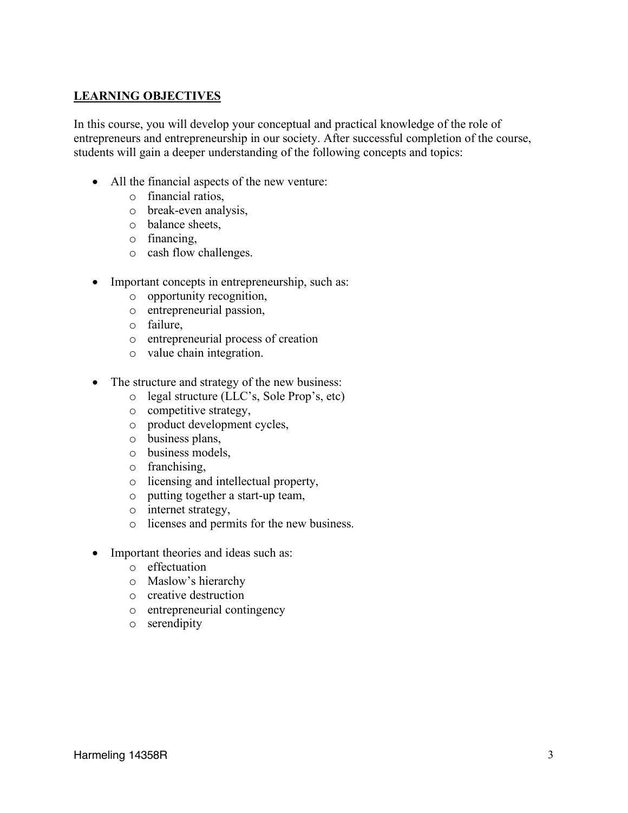# **LEARNING OBJECTIVES**

In this course, you will develop your conceptual and practical knowledge of the role of entrepreneurs and entrepreneurship in our society. After successful completion of the course, students will gain a deeper understanding of the following concepts and topics:

- All the financial aspects of the new venture:
	- o financial ratios,
	- o break-even analysis,
	- o balance sheets,
	- o financing,
	- o cash flow challenges.
- Important concepts in entrepreneurship, such as:
	- o opportunity recognition,
	- o entrepreneurial passion,
	- o failure,
	- o entrepreneurial process of creation
	- o value chain integration.
- The structure and strategy of the new business:
	- o legal structure (LLC's, Sole Prop's, etc)
	- o competitive strategy,
	- o product development cycles,
	- o business plans,
	- o business models,
	- o franchising,
	- o licensing and intellectual property,
	- o putting together a start-up team,
	- o internet strategy,
	- o licenses and permits for the new business.
- Important theories and ideas such as:
	- o effectuation
	- o Maslow's hierarchy
	- o creative destruction
	- o entrepreneurial contingency
	- o serendipity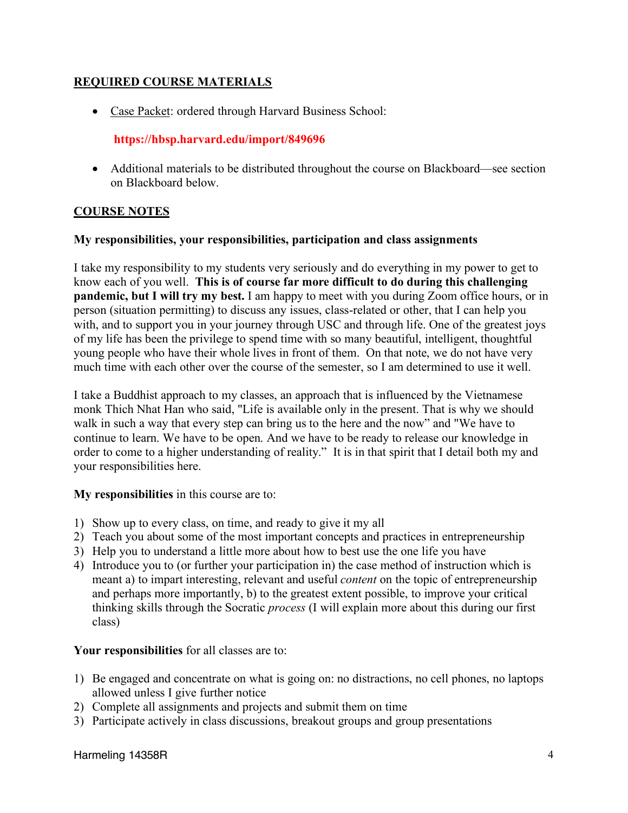# **REQUIRED COURSE MATERIALS**

• Case Packet: ordered through Harvard Business School:

# **https://hbsp.harvard.edu/import/849696**

• Additional materials to be distributed throughout the course on Blackboard—see section on Blackboard below.

# **COURSE NOTES**

## **My responsibilities, your responsibilities, participation and class assignments**

I take my responsibility to my students very seriously and do everything in my power to get to know each of you well. **This is of course far more difficult to do during this challenging pandemic, but I will try my best.** I am happy to meet with you during Zoom office hours, or in person (situation permitting) to discuss any issues, class-related or other, that I can help you with, and to support you in your journey through USC and through life. One of the greatest joys of my life has been the privilege to spend time with so many beautiful, intelligent, thoughtful young people who have their whole lives in front of them. On that note, we do not have very much time with each other over the course of the semester, so I am determined to use it well.

I take a Buddhist approach to my classes, an approach that is influenced by the Vietnamese monk Thich Nhat Han who said, "Life is available only in the present. That is why we should walk in such a way that every step can bring us to the here and the now" and "We have to continue to learn. We have to be open. And we have to be ready to release our knowledge in order to come to a higher understanding of reality." It is in that spirit that I detail both my and your responsibilities here.

### **My responsibilities** in this course are to:

- 1) Show up to every class, on time, and ready to give it my all
- 2) Teach you about some of the most important concepts and practices in entrepreneurship
- 3) Help you to understand a little more about how to best use the one life you have
- 4) Introduce you to (or further your participation in) the case method of instruction which is meant a) to impart interesting, relevant and useful *content* on the topic of entrepreneurship and perhaps more importantly, b) to the greatest extent possible, to improve your critical thinking skills through the Socratic *process* (I will explain more about this during our first class)

# **Your responsibilities** for all classes are to:

- 1) Be engaged and concentrate on what is going on: no distractions, no cell phones, no laptops allowed unless I give further notice
- 2) Complete all assignments and projects and submit them on time
- 3) Participate actively in class discussions, breakout groups and group presentations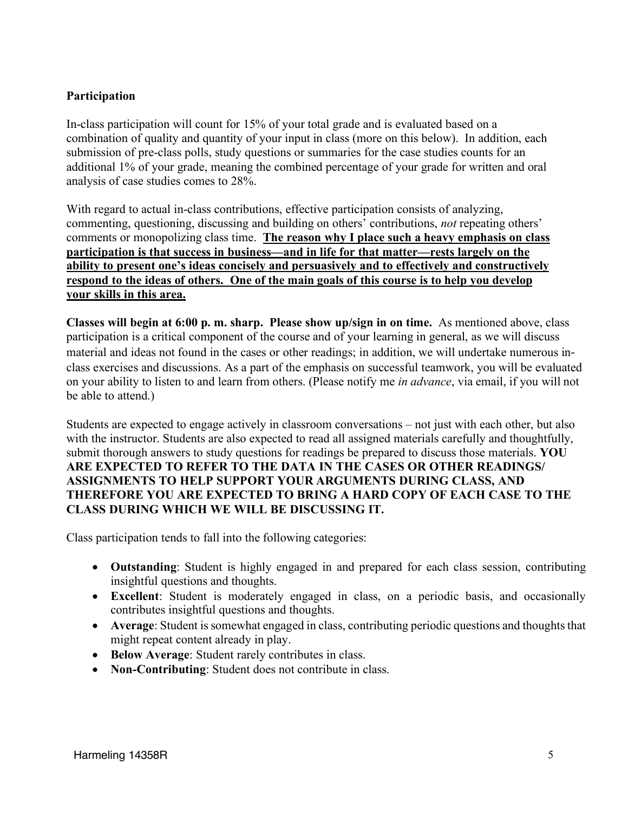# **Participation**

In-class participation will count for 15% of your total grade and is evaluated based on a combination of quality and quantity of your input in class (more on this below). In addition, each submission of pre-class polls, study questions or summaries for the case studies counts for an additional 1% of your grade, meaning the combined percentage of your grade for written and oral analysis of case studies comes to 28%.

With regard to actual in-class contributions, effective participation consists of analyzing, commenting, questioning, discussing and building on others' contributions, *not* repeating others' comments or monopolizing class time. **The reason why I place such a heavy emphasis on class participation is that success in business—and in life for that matter—rests largely on the ability to present one's ideas concisely and persuasively and to effectively and constructively respond to the ideas of others. One of the main goals of this course is to help you develop your skills in this area.** 

**Classes will begin at 6:00 p. m. sharp. Please show up/sign in on time.** As mentioned above, class participation is a critical component of the course and of your learning in general, as we will discuss material and ideas not found in the cases or other readings; in addition, we will undertake numerous inclass exercises and discussions. As a part of the emphasis on successful teamwork, you will be evaluated on your ability to listen to and learn from others. (Please notify me *in advance*, via email, if you will not be able to attend.)

Students are expected to engage actively in classroom conversations – not just with each other, but also with the instructor. Students are also expected to read all assigned materials carefully and thoughtfully, submit thorough answers to study questions for readings be prepared to discuss those materials. **YOU ARE EXPECTED TO REFER TO THE DATA IN THE CASES OR OTHER READINGS/ ASSIGNMENTS TO HELP SUPPORT YOUR ARGUMENTS DURING CLASS, AND THEREFORE YOU ARE EXPECTED TO BRING A HARD COPY OF EACH CASE TO THE CLASS DURING WHICH WE WILL BE DISCUSSING IT.** 

Class participation tends to fall into the following categories:

- **Outstanding**: Student is highly engaged in and prepared for each class session, contributing insightful questions and thoughts.
- **Excellent**: Student is moderately engaged in class, on a periodic basis, and occasionally contributes insightful questions and thoughts.
- **Average**: Student is somewhat engaged in class, contributing periodic questions and thoughts that might repeat content already in play.
- **Below Average**: Student rarely contributes in class.
- **Non-Contributing**: Student does not contribute in class.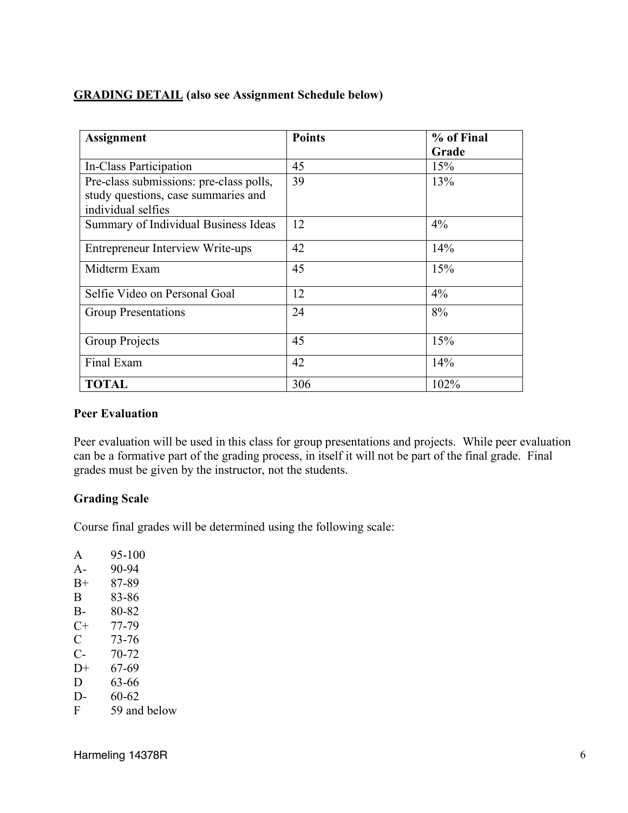# **GRADING DETAIL (also see Assignment Schedule below)**

| <b>Assignment</b>                       | <b>Points</b> | % of Final |
|-----------------------------------------|---------------|------------|
|                                         |               | Grade      |
| In-Class Participation                  | 45            | 15%        |
| Pre-class submissions: pre-class polls, | 39            | 13%        |
| study questions, case summaries and     |               |            |
| individual selfies                      |               |            |
| Summary of Individual Business Ideas    | 12            | $4\%$      |
| <b>Entrepreneur Interview Write-ups</b> | 42            | 14%        |
| Midterm Exam                            | 45            | 15%        |
| Selfie Video on Personal Goal           | 12            | $4\%$      |
| <b>Group Presentations</b>              | 24            | 8%         |
| Group Projects                          | 45            | 15%        |
| Final Exam                              | 42            | 14%        |
| <b>TOTAL</b>                            | 306           | 102%       |

# **Peer Evaluation**

Peer evaluation will be used in this class for group presentations and projects. While peer evaluation can be a formative part of the grading process, in itself it will not be part of the final grade. Final grades must be given by the instructor, not the students.

# **Grading Scale**

Course final grades will be determined using the following scale:

| A     | 95-100       |
|-------|--------------|
| $A -$ | 90-94        |
| $B+$  | 87-89        |
| B     | 83-86        |
| $B -$ | 80-82        |
| $C+$  | 77-79        |
| C     | 73-76        |
| С-    | 70-72        |
| $D+$  | 67-69        |
| D     | 63-66        |
| D-    | 60-62        |
| F     | 59 and below |
|       |              |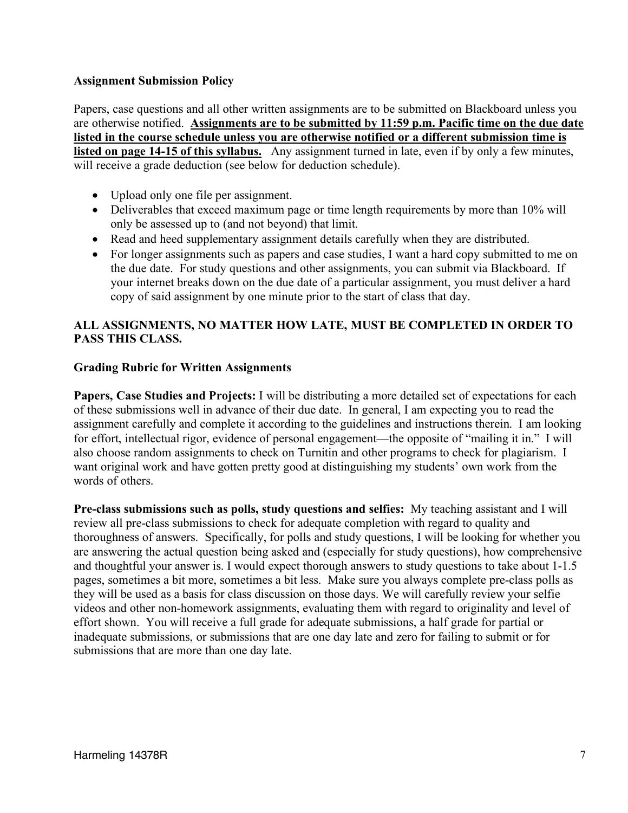### **Assignment Submission Policy**

Papers, case questions and all other written assignments are to be submitted on Blackboard unless you are otherwise notified. **Assignments are to be submitted by 11:59 p.m. Pacific time on the due date listed in the course schedule unless you are otherwise notified or a different submission time is listed on page 14-15 of this syllabus.** Any assignment turned in late, even if by only a few minutes, will receive a grade deduction (see below for deduction schedule).

- Upload only one file per assignment.
- Deliverables that exceed maximum page or time length requirements by more than 10% will only be assessed up to (and not beyond) that limit.
- Read and heed supplementary assignment details carefully when they are distributed.
- For longer assignments such as papers and case studies, I want a hard copy submitted to me on the due date. For study questions and other assignments, you can submit via Blackboard. If your internet breaks down on the due date of a particular assignment, you must deliver a hard copy of said assignment by one minute prior to the start of class that day.

# **ALL ASSIGNMENTS, NO MATTER HOW LATE, MUST BE COMPLETED IN ORDER TO PASS THIS CLASS.**

## **Grading Rubric for Written Assignments**

**Papers, Case Studies and Projects:** I will be distributing a more detailed set of expectations for each of these submissions well in advance of their due date. In general, I am expecting you to read the assignment carefully and complete it according to the guidelines and instructions therein. I am looking for effort, intellectual rigor, evidence of personal engagement—the opposite of "mailing it in." I will also choose random assignments to check on Turnitin and other programs to check for plagiarism. I want original work and have gotten pretty good at distinguishing my students' own work from the words of others.

**Pre-class submissions such as polls, study questions and selfies:** My teaching assistant and I will review all pre-class submissions to check for adequate completion with regard to quality and thoroughness of answers. Specifically, for polls and study questions, I will be looking for whether you are answering the actual question being asked and (especially for study questions), how comprehensive and thoughtful your answer is. I would expect thorough answers to study questions to take about 1-1.5 pages, sometimes a bit more, sometimes a bit less. Make sure you always complete pre-class polls as they will be used as a basis for class discussion on those days. We will carefully review your selfie videos and other non-homework assignments, evaluating them with regard to originality and level of effort shown. You will receive a full grade for adequate submissions, a half grade for partial or inadequate submissions, or submissions that are one day late and zero for failing to submit or for submissions that are more than one day late.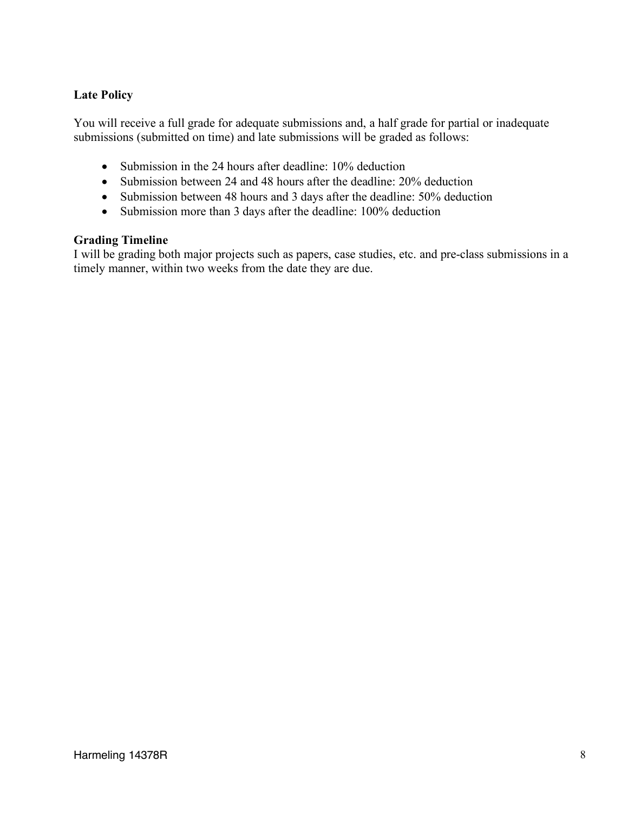# **Late Policy**

You will receive a full grade for adequate submissions and, a half grade for partial or inadequate submissions (submitted on time) and late submissions will be graded as follows:

- Submission in the 24 hours after deadline: 10% deduction
- Submission between 24 and 48 hours after the deadline: 20% deduction
- Submission between 48 hours and 3 days after the deadline: 50% deduction
- Submission more than 3 days after the deadline: 100% deduction

## **Grading Timeline**

I will be grading both major projects such as papers, case studies, etc. and pre-class submissions in a timely manner, within two weeks from the date they are due.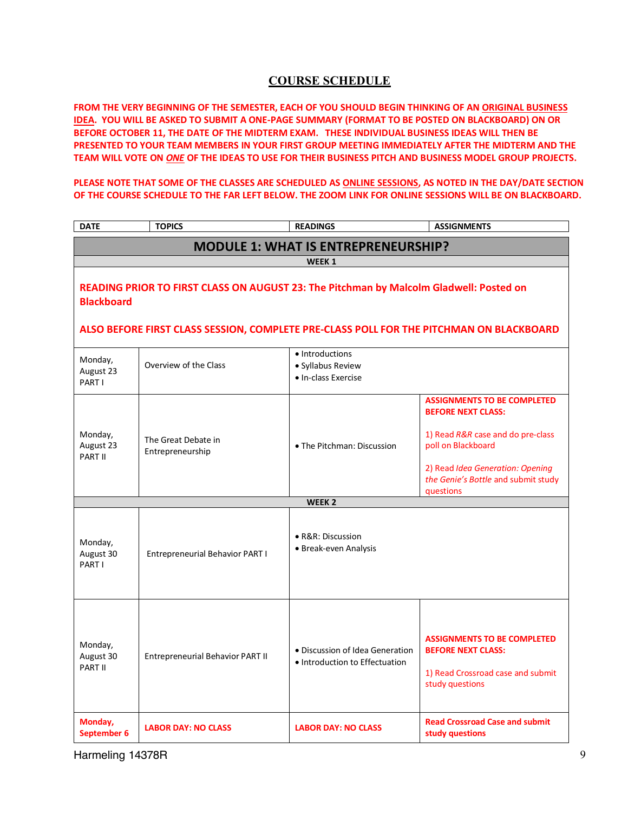### **COURSE SCHEDULE**

**FROM THE VERY BEGINNING OF THE SEMESTER, EACH OF YOU SHOULD BEGIN THINKING OF AN ORIGINAL BUSINESS IDEA. YOU WILL BE ASKED TO SUBMIT A ONE-PAGE SUMMARY (FORMAT TO BE POSTED ON BLACKBOARD) ON OR BEFORE OCTOBER 11, THE DATE OF THE MIDTERM EXAM. THESE INDIVIDUAL BUSINESS IDEAS WILL THEN BE PRESENTED TO YOUR TEAM MEMBERS IN YOUR FIRST GROUP MEETING IMMEDIATELY AFTER THE MIDTERM AND THE TEAM WILL VOTE ON** *ONE* **OF THE IDEAS TO USE FOR THEIR BUSINESS PITCH AND BUSINESS MODEL GROUP PROJECTS.** 

**PLEASE NOTE THAT SOME OF THE CLASSES ARE SCHEDULED AS ONLINE SESSIONS, AS NOTED IN THE DAY/DATE SECTION OF THE COURSE SCHEDULE TO THE FAR LEFT BELOW. THE ZOOM LINK FOR ONLINE SESSIONS WILL BE ON BLACKBOARD.**

| <b>DATE</b>                     | <b>TOPICS</b>                                                                                                                                                                     | <b>READINGS</b>                                                   | <b>ASSIGNMENTS</b>                                                                                                                                                                                                 |  |
|---------------------------------|-----------------------------------------------------------------------------------------------------------------------------------------------------------------------------------|-------------------------------------------------------------------|--------------------------------------------------------------------------------------------------------------------------------------------------------------------------------------------------------------------|--|
|                                 |                                                                                                                                                                                   | <b>MODULE 1: WHAT IS ENTREPRENEURSHIP?</b>                        |                                                                                                                                                                                                                    |  |
|                                 |                                                                                                                                                                                   | WEEK 1                                                            |                                                                                                                                                                                                                    |  |
| <b>Blackboard</b>               | READING PRIOR TO FIRST CLASS ON AUGUST 23: The Pitchman by Malcolm Gladwell: Posted on<br>ALSO BEFORE FIRST CLASS SESSION, COMPLETE PRE-CLASS POLL FOR THE PITCHMAN ON BLACKBOARD |                                                                   |                                                                                                                                                                                                                    |  |
| Monday,<br>August 23<br>PART I  | Overview of the Class                                                                                                                                                             | · Introductions<br>· Syllabus Review<br>• In-class Exercise       |                                                                                                                                                                                                                    |  |
| Monday,<br>August 23<br>PART II | The Great Debate in<br>Entrepreneurship                                                                                                                                           | • The Pitchman: Discussion                                        | <b>ASSIGNMENTS TO BE COMPLETED</b><br><b>BEFORE NEXT CLASS:</b><br>1) Read R&R case and do pre-class<br>poll on Blackboard<br>2) Read Idea Generation: Opening<br>the Genie's Bottle and submit study<br>questions |  |
| WEEK <sub>2</sub>               |                                                                                                                                                                                   |                                                                   |                                                                                                                                                                                                                    |  |
| Monday,<br>August 30<br>PART I  | Entrepreneurial Behavior PART I                                                                                                                                                   | • R&R: Discussion<br>· Break-even Analysis                        |                                                                                                                                                                                                                    |  |
| Monday,<br>August 30<br>PART II | Entrepreneurial Behavior PART II                                                                                                                                                  | • Discussion of Idea Generation<br>• Introduction to Effectuation | <b>ASSIGNMENTS TO BE COMPLETED</b><br><b>BEFORE NEXT CLASS:</b><br>1) Read Crossroad case and submit<br>study questions                                                                                            |  |
| Monday,<br>September 6          | <b>LABOR DAY: NO CLASS</b>                                                                                                                                                        | <b>LABOR DAY: NO CLASS</b>                                        | <b>Read Crossroad Case and submit</b><br>study questions                                                                                                                                                           |  |

Harmeling 14378R 9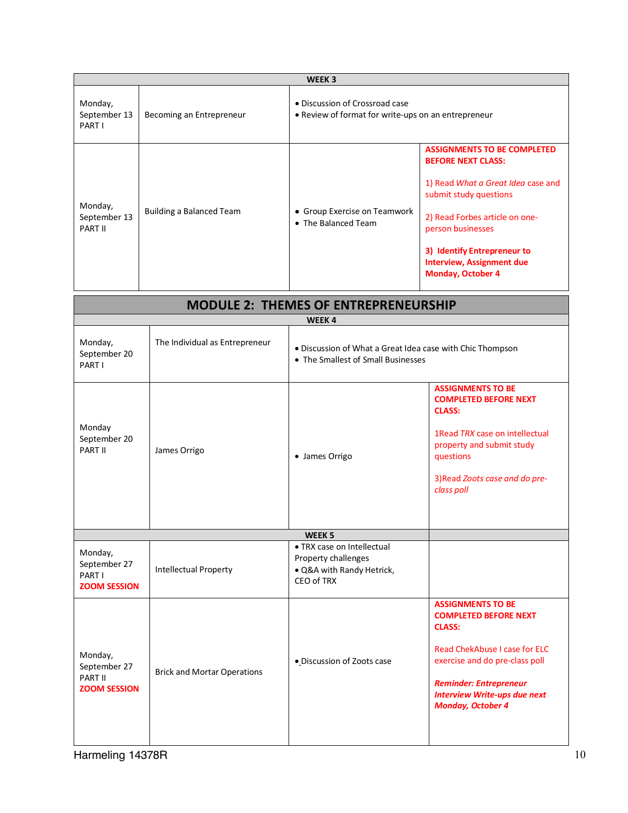|                                    | WEEK <sub>3</sub>        |                                                                                       |                                                                                                                                                                                                                                                                                       |  |
|------------------------------------|--------------------------|---------------------------------------------------------------------------------------|---------------------------------------------------------------------------------------------------------------------------------------------------------------------------------------------------------------------------------------------------------------------------------------|--|
| Monday,<br>September 13<br>PART I  | Becoming an Entrepreneur | • Discussion of Crossroad case<br>• Review of format for write-ups on an entrepreneur |                                                                                                                                                                                                                                                                                       |  |
| Monday,<br>September 13<br>PART II | Building a Balanced Team | • Group Exercise on Teamwork<br>• The Balanced Team                                   | <b>ASSIGNMENTS TO BE COMPLETED</b><br><b>BEFORE NEXT CLASS:</b><br>1) Read What a Great Idea case and<br>submit study questions<br>2) Read Forbes article on one-<br>person businesses<br>3) Identify Entrepreneur to<br><b>Interview, Assignment due</b><br><b>Monday, October 4</b> |  |

| <b>MODULE 2: THEMES OF ENTREPRENEURSHIP</b>               |                                    |                                                                                                 |                                                                                                                                                                                                                                                  |
|-----------------------------------------------------------|------------------------------------|-------------------------------------------------------------------------------------------------|--------------------------------------------------------------------------------------------------------------------------------------------------------------------------------------------------------------------------------------------------|
|                                                           |                                    | WEEK4                                                                                           |                                                                                                                                                                                                                                                  |
| Monday,<br>September 20<br>PART I                         | The Individual as Entrepreneur     | · Discussion of What a Great Idea case with Chic Thompson<br>• The Smallest of Small Businesses |                                                                                                                                                                                                                                                  |
| Monday<br>September 20<br>PART II                         | James Orrigo                       | • James Orrigo                                                                                  | <b>ASSIGNMENTS TO BE</b><br><b>COMPLETED BEFORE NEXT</b><br><b>CLASS:</b><br>1 Read TRX case on intellectual<br>property and submit study<br>questions<br>3) Read Zoots case and do pre-<br>class poll                                           |
|                                                           |                                    | WEEK <sub>5</sub>                                                                               |                                                                                                                                                                                                                                                  |
| Monday,<br>September 27<br>PART I<br><b>ZOOM SESSION</b>  | Intellectual Property              | • TRX case on Intellectual<br>Property challenges<br>· Q&A with Randy Hetrick,<br>CEO of TRX    |                                                                                                                                                                                                                                                  |
| Monday,<br>September 27<br>PART II<br><b>ZOOM SESSION</b> | <b>Brick and Mortar Operations</b> | · Discussion of Zoots case                                                                      | <b>ASSIGNMENTS TO BE</b><br><b>COMPLETED BEFORE NEXT</b><br><b>CLASS:</b><br>Read ChekAbuse I case for ELC<br>exercise and do pre-class poll<br><b>Reminder: Entrepreneur</b><br><b>Interview Write-ups due next</b><br><b>Monday, October 4</b> |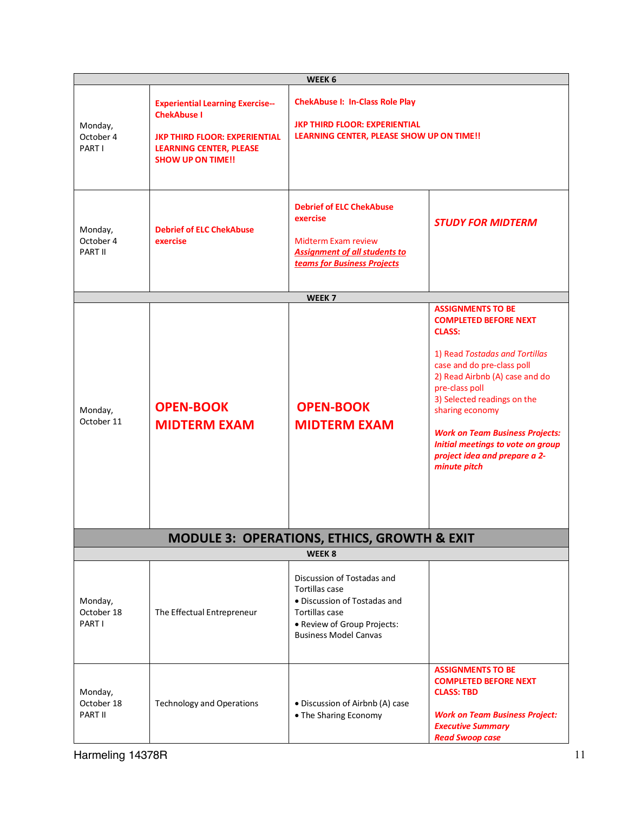|                                  |                                                                                                                                                                     | WEEK 6                                                                                                                                                               |                                                                                                                                                                                                                                                                                                                                                                                 |
|----------------------------------|---------------------------------------------------------------------------------------------------------------------------------------------------------------------|----------------------------------------------------------------------------------------------------------------------------------------------------------------------|---------------------------------------------------------------------------------------------------------------------------------------------------------------------------------------------------------------------------------------------------------------------------------------------------------------------------------------------------------------------------------|
| Monday,<br>October 4<br>PART I   | <b>Experiential Learning Exercise--</b><br><b>ChekAbuse I</b><br><b>JKP THIRD FLOOR: EXPERIENTIAL</b><br><b>LEARNING CENTER, PLEASE</b><br><b>SHOW UP ON TIME!!</b> | <b>ChekAbuse I: In-Class Role Play</b><br><b>JKP THIRD FLOOR: EXPERIENTIAL</b><br>LEARNING CENTER, PLEASE SHOW UP ON TIME !!                                         |                                                                                                                                                                                                                                                                                                                                                                                 |
| Monday,<br>October 4<br>PART II  | <b>Debrief of ELC ChekAbuse</b><br>exercise                                                                                                                         | <b>Debrief of ELC ChekAbuse</b><br>exercise<br><b>Midterm Exam review</b><br><b>Assignment of all students to</b><br>teams for Business Projects                     | <b>STUDY FOR MIDTERM</b>                                                                                                                                                                                                                                                                                                                                                        |
|                                  |                                                                                                                                                                     | WEEK <sub>7</sub>                                                                                                                                                    |                                                                                                                                                                                                                                                                                                                                                                                 |
| Monday,<br>October 11            | <b>OPEN-BOOK</b><br><b>MIDTERM EXAM</b>                                                                                                                             | <b>OPEN-BOOK</b><br><b>MIDTERM EXAM</b>                                                                                                                              | <b>ASSIGNMENTS TO BE</b><br><b>COMPLETED BEFORE NEXT</b><br><b>CLASS:</b><br>1) Read Tostadas and Tortillas<br>case and do pre-class poll<br>2) Read Airbnb (A) case and do<br>pre-class poll<br>3) Selected readings on the<br>sharing economy<br><b>Work on Team Business Projects:</b><br>Initial meetings to vote on group<br>project idea and prepare a 2-<br>minute pitch |
|                                  |                                                                                                                                                                     | <b>MODULE 3: OPERATIONS, ETHICS, GROWTH &amp; EXIT</b>                                                                                                               |                                                                                                                                                                                                                                                                                                                                                                                 |
|                                  |                                                                                                                                                                     | WEEK <sub>8</sub>                                                                                                                                                    |                                                                                                                                                                                                                                                                                                                                                                                 |
| Monday,<br>October 18<br>PART I  | The Effectual Entrepreneur                                                                                                                                          | Discussion of Tostadas and<br><b>Tortillas case</b><br>· Discussion of Tostadas and<br>Tortillas case<br>· Review of Group Projects:<br><b>Business Model Canvas</b> |                                                                                                                                                                                                                                                                                                                                                                                 |
| Monday,<br>October 18<br>PART II | <b>Technology and Operations</b>                                                                                                                                    | • Discussion of Airbnb (A) case<br>• The Sharing Economy                                                                                                             | <b>ASSIGNMENTS TO BE</b><br><b>COMPLETED BEFORE NEXT</b><br><b>CLASS: TBD</b><br><b>Work on Team Business Project:</b><br><b>Executive Summary</b><br><b>Read Swoop case</b>                                                                                                                                                                                                    |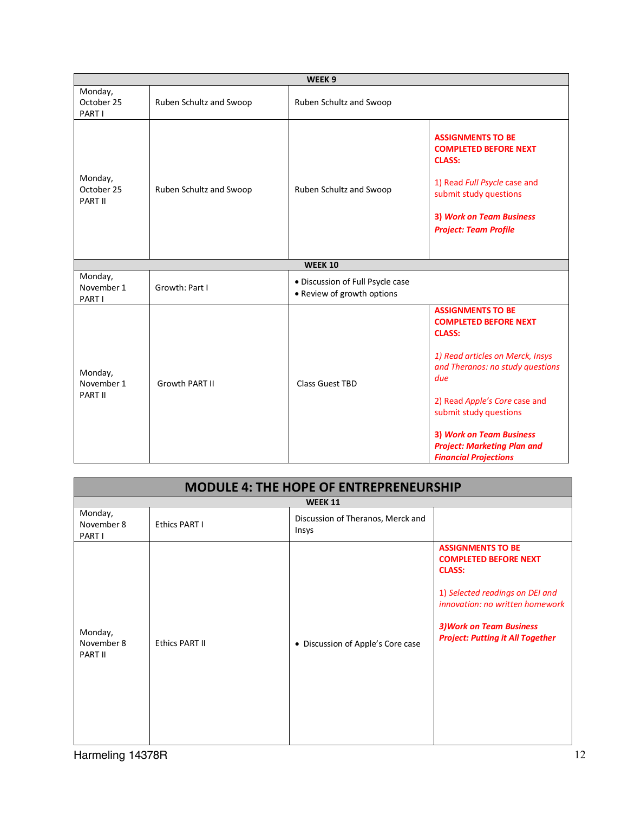| WEEK <sub>9</sub>                |                         |                                                                |                                                                                                                                                                                                                                                                                                                              |
|----------------------------------|-------------------------|----------------------------------------------------------------|------------------------------------------------------------------------------------------------------------------------------------------------------------------------------------------------------------------------------------------------------------------------------------------------------------------------------|
| Monday,<br>October 25<br>PART I  | Ruben Schultz and Swoop | Ruben Schultz and Swoop                                        |                                                                                                                                                                                                                                                                                                                              |
| Monday,<br>October 25<br>PART II | Ruben Schultz and Swoop | Ruben Schultz and Swoop                                        | <b>ASSIGNMENTS TO BE</b><br><b>COMPLETED BEFORE NEXT</b><br><b>CLASS:</b><br>1) Read Full Psycle case and<br>submit study questions<br><b>3) Work on Team Business</b><br><b>Project: Team Profile</b>                                                                                                                       |
|                                  |                         | <b>WEEK 10</b>                                                 |                                                                                                                                                                                                                                                                                                                              |
| Monday,<br>November 1<br>PART I  | Growth: Part I          | · Discussion of Full Psycle case<br>• Review of growth options |                                                                                                                                                                                                                                                                                                                              |
| Monday,<br>November 1<br>PART II | <b>Growth PART II</b>   | <b>Class Guest TBD</b>                                         | <b>ASSIGNMENTS TO BE</b><br><b>COMPLETED BEFORE NEXT</b><br><b>CLASS:</b><br>1) Read articles on Merck, Insys<br>and Theranos: no study questions<br>due<br>2) Read Apple's Core case and<br>submit study questions<br><b>3) Work on Team Business</b><br><b>Project: Marketing Plan and</b><br><b>Financial Projections</b> |

| <b>MODULE 4: THE HOPE OF ENTREPRENEURSHIP</b> |                |                                            |                                                                                                                                                                                                                               |  |
|-----------------------------------------------|----------------|--------------------------------------------|-------------------------------------------------------------------------------------------------------------------------------------------------------------------------------------------------------------------------------|--|
|                                               |                | <b>WEEK 11</b>                             |                                                                                                                                                                                                                               |  |
| Monday,<br>November 8<br>PART I               | Ethics PART I  | Discussion of Theranos, Merck and<br>Insys |                                                                                                                                                                                                                               |  |
| Monday,<br>November 8<br>PART II              | Ethics PART II | • Discussion of Apple's Core case          | <b>ASSIGNMENTS TO BE</b><br><b>COMPLETED BEFORE NEXT</b><br><b>CLASS:</b><br>1) Selected readings on DEI and<br>innovation: no written homework<br><b>3) Work on Team Business</b><br><b>Project: Putting it All Together</b> |  |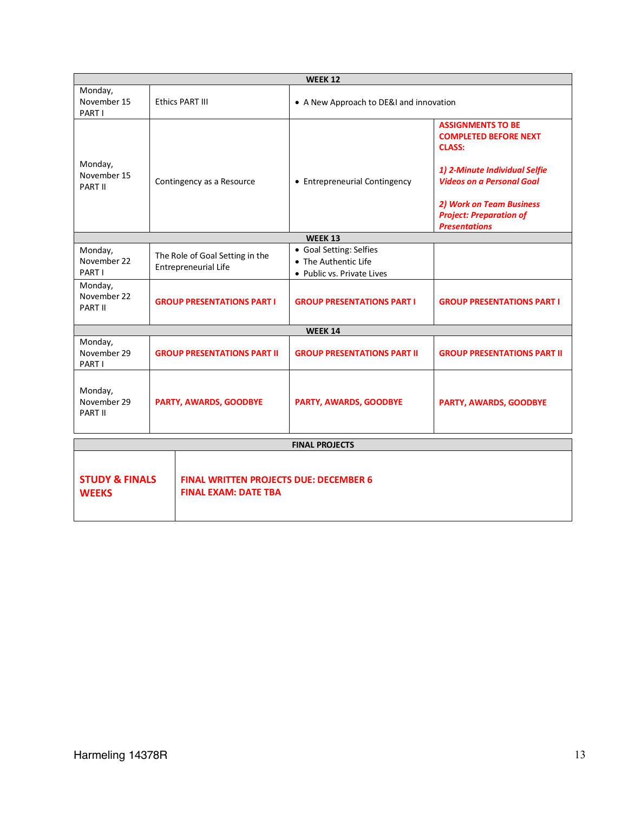| <b>WEEK 12</b>                                                                                                            |  |                                                                |                                                                               |                                                                                                                                                                                                                                             |
|---------------------------------------------------------------------------------------------------------------------------|--|----------------------------------------------------------------|-------------------------------------------------------------------------------|---------------------------------------------------------------------------------------------------------------------------------------------------------------------------------------------------------------------------------------------|
| Monday,<br>November 15<br>PART I                                                                                          |  | Ethics PART III                                                | • A New Approach to DE&I and innovation                                       |                                                                                                                                                                                                                                             |
| Monday,<br>November 15<br>PART II                                                                                         |  | Contingency as a Resource                                      | • Entrepreneurial Contingency                                                 | <b>ASSIGNMENTS TO BE</b><br><b>COMPLETED BEFORE NEXT</b><br><b>CLASS:</b><br>1) 2-Minute Individual Selfie<br><b>Videos on a Personal Goal</b><br><b>2) Work on Team Business</b><br><b>Project: Preparation of</b><br><b>Presentations</b> |
|                                                                                                                           |  |                                                                | WEEK 13                                                                       |                                                                                                                                                                                                                                             |
| Monday,<br>November 22<br>PART I                                                                                          |  | The Role of Goal Setting in the<br><b>Entrepreneurial Life</b> | • Goal Setting: Selfies<br>• The Authentic Life<br>• Public vs. Private Lives |                                                                                                                                                                                                                                             |
| Monday,<br>November 22<br><b>PART II</b>                                                                                  |  | <b>GROUP PRESENTATIONS PART I</b>                              | <b>GROUP PRESENTATIONS PART I</b>                                             | <b>GROUP PRESENTATIONS PART I</b>                                                                                                                                                                                                           |
|                                                                                                                           |  |                                                                | <b>WEEK 14</b>                                                                |                                                                                                                                                                                                                                             |
| Monday,<br>November 29<br>PART I                                                                                          |  | <b>GROUP PRESENTATIONS PART II</b>                             | <b>GROUP PRESENTATIONS PART II</b>                                            | <b>GROUP PRESENTATIONS PART II</b>                                                                                                                                                                                                          |
| Monday,<br>November 29<br>PART II                                                                                         |  | PARTY, AWARDS, GOODBYE                                         | PARTY, AWARDS, GOODBYE                                                        | <b>PARTY, AWARDS, GOODBYE</b>                                                                                                                                                                                                               |
| <b>FINAL PROJECTS</b>                                                                                                     |  |                                                                |                                                                               |                                                                                                                                                                                                                                             |
| <b>STUDY &amp; FINALS</b><br><b>FINAL WRITTEN PROJECTS DUE: DECEMBER 6</b><br><b>FINAL EXAM: DATE TBA</b><br><b>WEEKS</b> |  |                                                                |                                                                               |                                                                                                                                                                                                                                             |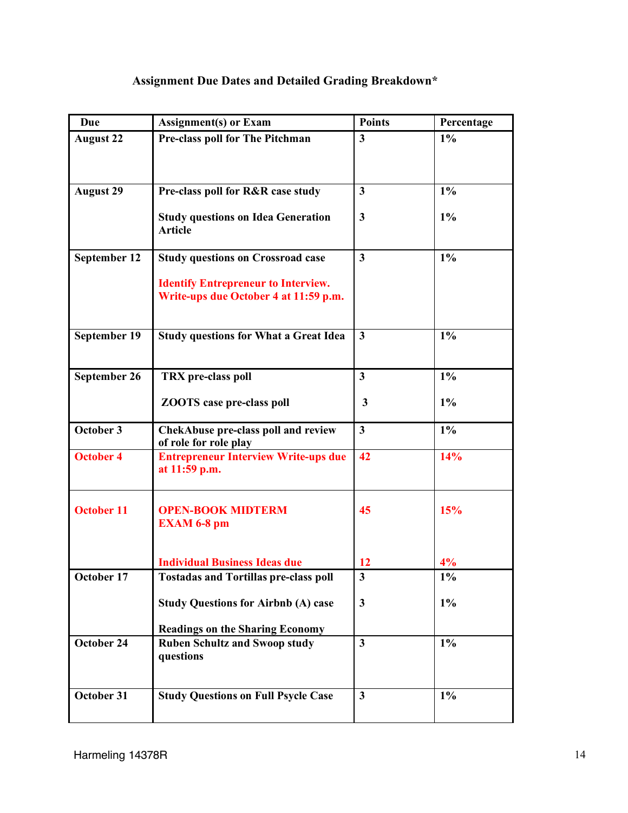# **Assignment Due Dates and Detailed Grading Breakdown\***

| Due               | <b>Assignment(s)</b> or Exam                                                        | <b>Points</b>           | Percentage |
|-------------------|-------------------------------------------------------------------------------------|-------------------------|------------|
| <b>August 22</b>  | Pre-class poll for The Pitchman                                                     | $\mathbf{3}$            | $1\%$      |
|                   |                                                                                     |                         |            |
|                   |                                                                                     |                         |            |
| <b>August 29</b>  | Pre-class poll for R&R case study                                                   | $\mathbf{3}$            | $1\%$      |
|                   | <b>Study questions on Idea Generation</b><br><b>Article</b>                         | $\mathbf{3}$            | 1%         |
| September 12      | <b>Study questions on Crossroad case</b>                                            | $\mathbf{3}$            | $1\%$      |
|                   | <b>Identify Entrepreneur to Interview.</b><br>Write-ups due October 4 at 11:59 p.m. |                         |            |
| September 19      | <b>Study questions for What a Great Idea</b>                                        | $\overline{\mathbf{3}}$ | $1\%$      |
| September 26      | TRX pre-class poll                                                                  | $\overline{\mathbf{3}}$ | $1\%$      |
|                   | <b>ZOOTS</b> case pre-class poll                                                    | 3                       | $1\%$      |
| October 3         | <b>ChekAbuse pre-class poll and review</b><br>of role for role play                 | $\overline{\mathbf{3}}$ | $1\%$      |
| <b>October 4</b>  | <b>Entrepreneur Interview Write-ups due</b><br>at 11:59 p.m.                        | 42                      | 14%        |
| <b>October 11</b> | <b>OPEN-BOOK MIDTERM</b><br><b>EXAM 6-8 pm</b>                                      | 45                      | 15%        |
|                   | <b>Individual Business Ideas due</b>                                                | 12                      | 4%         |
| October 17        | <b>Tostadas and Tortillas pre-class poll</b>                                        | 3                       | $1\%$      |
|                   | <b>Study Questions for Airbnb (A) case</b>                                          | $\mathbf{3}$            | $1\%$      |
|                   | <b>Readings on the Sharing Economy</b>                                              |                         |            |
| October 24        | <b>Ruben Schultz and Swoop study</b><br>questions                                   | $\overline{\mathbf{3}}$ | $1\%$      |
| October 31        | <b>Study Questions on Full Psycle Case</b>                                          | $\overline{\mathbf{3}}$ | $1\%$      |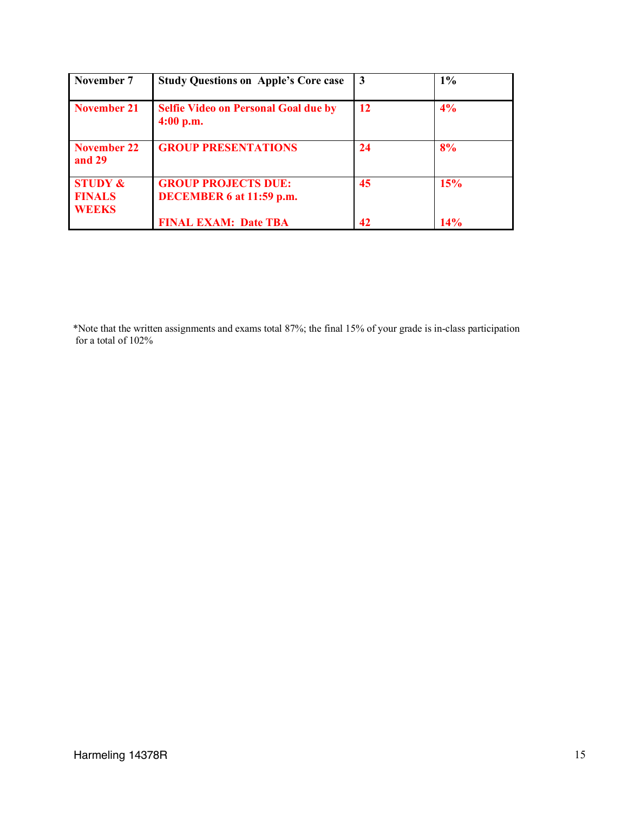| November 7                                          | <b>Study Questions on Apple's Core case</b>                | 3  | $1\%$ |
|-----------------------------------------------------|------------------------------------------------------------|----|-------|
| November 21                                         | <b>Selfie Video on Personal Goal due by</b><br>$4:00$ p.m. | 12 | 4%    |
| November 22<br>and 29                               | <b>GROUP PRESENTATIONS</b>                                 | 24 | 8%    |
| <b>STUDY &amp;</b><br><b>FINALS</b><br><b>WEEKS</b> | <b>GROUP PROJECTS DUE:</b><br>DECEMBER 6 at 11:59 p.m.     | 45 | 15%   |
|                                                     | <b>FINAL EXAM: Date TBA</b>                                | 42 | 14%   |

 \*Note that the written assignments and exams total 87%; the final 15% of your grade is in-class participation for a total of 102%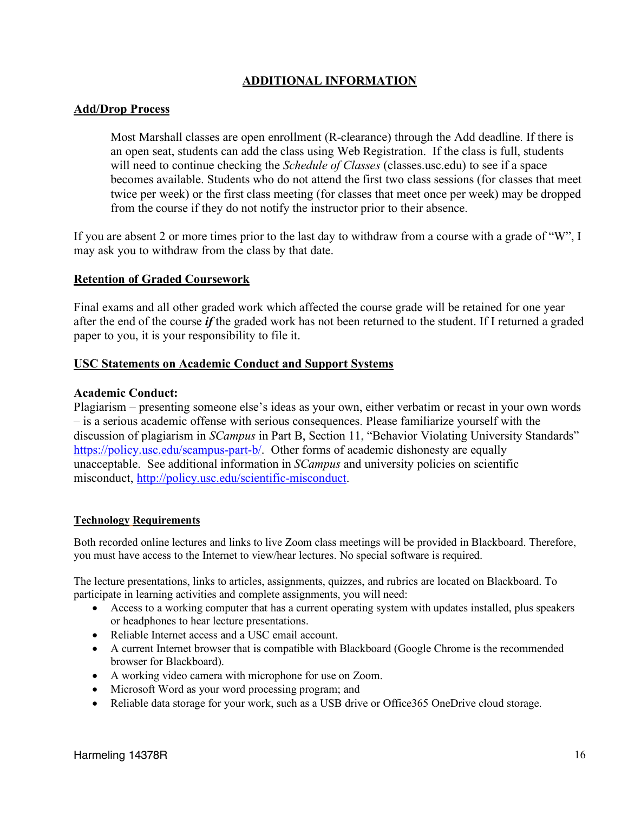# **ADDITIONAL INFORMATION**

### **Add/Drop Process**

Most Marshall classes are open enrollment (R-clearance) through the Add deadline. If there is an open seat, students can add the class using Web Registration. If the class is full, students will need to continue checking the *Schedule of Classes* (classes.usc.edu) to see if a space becomes available. Students who do not attend the first two class sessions (for classes that meet twice per week) or the first class meeting (for classes that meet once per week) may be dropped from the course if they do not notify the instructor prior to their absence.

If you are absent 2 or more times prior to the last day to withdraw from a course with a grade of "W", I may ask you to withdraw from the class by that date.

### **Retention of Graded Coursework**

Final exams and all other graded work which affected the course grade will be retained for one year after the end of the course *if* the graded work has not been returned to the student. If I returned a graded paper to you, it is your responsibility to file it.

### **USC Statements on Academic Conduct and Support Systems**

### **Academic Conduct:**

Plagiarism – presenting someone else's ideas as your own, either verbatim or recast in your own words – is a serious academic offense with serious consequences. Please familiarize yourself with the discussion of plagiarism in *SCampus* in Part B, Section 11, "Behavior Violating University Standards" https://policy.usc.edu/scampus-part-b/. Other forms of academic dishonesty are equally unacceptable. See additional information in *SCampus* and university policies on scientific misconduct, http://policy.usc.edu/scientific-misconduct.

### **Technology Requirements**

Both recorded online lectures and links to live Zoom class meetings will be provided in Blackboard. Therefore, you must have access to the Internet to view/hear lectures. No special software is required.

The lecture presentations, links to articles, assignments, quizzes, and rubrics are located on Blackboard. To participate in learning activities and complete assignments, you will need:

- Access to a working computer that has a current operating system with updates installed, plus speakers or headphones to hear lecture presentations.
- Reliable Internet access and a USC email account.
- A current Internet browser that is compatible with Blackboard (Google Chrome is the recommended browser for Blackboard).
- A working video camera with microphone for use on Zoom.
- Microsoft Word as your word processing program; and
- Reliable data storage for your work, such as a USB drive or Office 365 OneDrive cloud storage.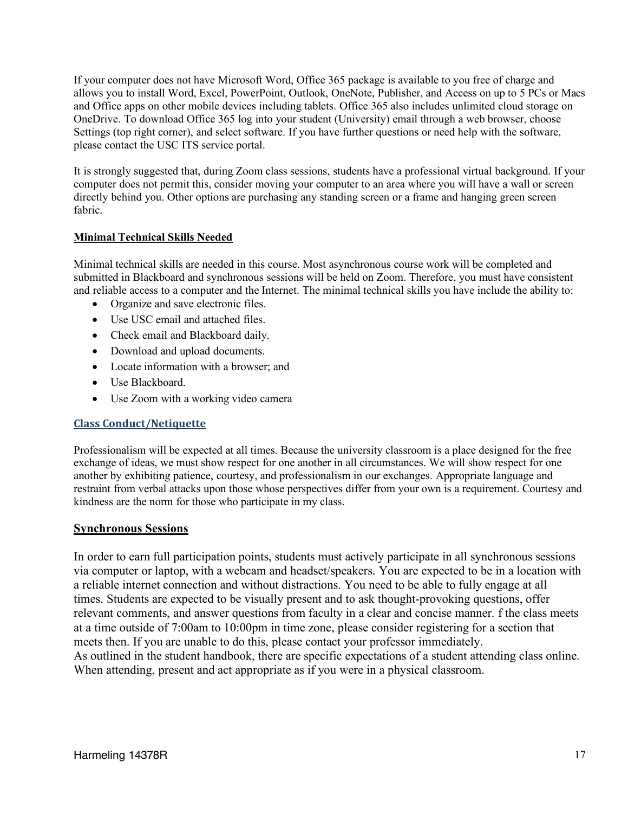If your computer does not have Microsoft Word, Office 365 package is available to you free of charge and allows you to install Word, Excel, PowerPoint, Outlook, OneNote, Publisher, and Access on up to 5 PCs or Macs and Office apps on other mobile devices including tablets. Office 365 also includes unlimited cloud storage on OneDrive. To download Office 365 log into your student (University) email through a web browser, choose Settings (top right corner), and select software. If you have further questions or need help with the software, please contact the USC ITS service portal.

It is strongly suggested that, during Zoom class sessions, students have a professional virtual background. If your computer does not permit this, consider moving your computer to an area where you will have a wall or screen directly behind you. Other options are purchasing any standing screen or a frame and hanging green screen fabric.

## **Minimal Technical Skills Needed**

Minimal technical skills are needed in this course. Most asynchronous course work will be completed and submitted in Blackboard and synchronous sessions will be held on Zoom. Therefore, you must have consistent and reliable access to a computer and the Internet. The minimal technical skills you have include the ability to:

- Organize and save electronic files.
- Use USC email and attached files.
- Check email and Blackboard daily.
- Download and upload documents.
- Locate information with a browser; and
- Use Blackboard.
- Use Zoom with a working video camera

### **Class Conduct/Netiquette**

Professionalism will be expected at all times. Because the university classroom is a place designed for the free exchange of ideas, we must show respect for one another in all circumstances. We will show respect for one another by exhibiting patience, courtesy, and professionalism in our exchanges. Appropriate language and restraint from verbal attacks upon those whose perspectives differ from your own is a requirement. Courtesy and kindness are the norm for those who participate in my class.

#### **Synchronous Sessions**

In order to earn full participation points, students must actively participate in all synchronous sessions via computer or laptop, with a webcam and headset/speakers. You are expected to be in a location with a reliable internet connection and without distractions. You need to be able to fully engage at all times. Students are expected to be visually present and to ask thought-provoking questions, offer relevant comments, and answer questions from faculty in a clear and concise manner. f the class meets at a time outside of 7:00am to 10:00pm in time zone, please consider registering for a section that meets then. If you are unable to do this, please contact your professor immediately. As outlined in the student handbook, there are specific expectations of a student attending class online. When attending, present and act appropriate as if you were in a physical classroom.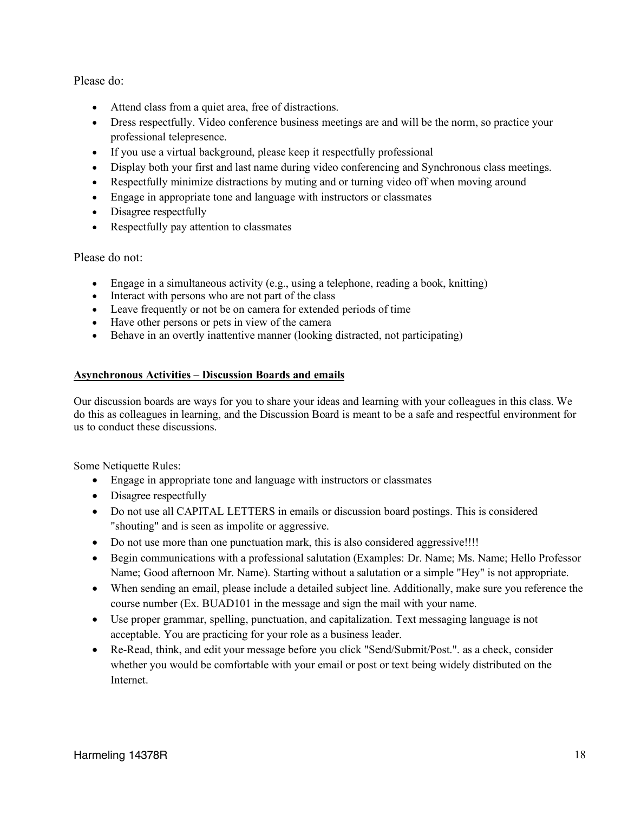Please do:

- Attend class from a quiet area, free of distractions.
- Dress respectfully. Video conference business meetings are and will be the norm, so practice your professional telepresence.
- If you use a virtual background, please keep it respectfully professional
- Display both your first and last name during video conferencing and Synchronous class meetings.
- Respectfully minimize distractions by muting and or turning video off when moving around
- Engage in appropriate tone and language with instructors or classmates
- Disagree respectfully
- Respectfully pay attention to classmates

#### Please do not:

- Engage in a simultaneous activity  $(e.g., using a telephone, reading a book, knitting)$
- Interact with persons who are not part of the class
- Leave frequently or not be on camera for extended periods of time
- Have other persons or pets in view of the camera
- Behave in an overtly inattentive manner (looking distracted, not participating)

#### **Asynchronous Activities – Discussion Boards and emails**

Our discussion boards are ways for you to share your ideas and learning with your colleagues in this class. We do this as colleagues in learning, and the Discussion Board is meant to be a safe and respectful environment for us to conduct these discussions.

Some Netiquette Rules:

- Engage in appropriate tone and language with instructors or classmates
- Disagree respectfully
- Do not use all CAPITAL LETTERS in emails or discussion board postings. This is considered "shouting" and is seen as impolite or aggressive.
- Do not use more than one punctuation mark, this is also considered aggressive!!!!
- Begin communications with a professional salutation (Examples: Dr. Name; Ms. Name; Hello Professor Name; Good afternoon Mr. Name). Starting without a salutation or a simple "Hey" is not appropriate.
- When sending an email, please include a detailed subject line. Additionally, make sure you reference the course number (Ex. BUAD101 in the message and sign the mail with your name.
- Use proper grammar, spelling, punctuation, and capitalization. Text messaging language is not acceptable. You are practicing for your role as a business leader.
- Re-Read, think, and edit your message before you click "Send/Submit/Post.". as a check, consider whether you would be comfortable with your email or post or text being widely distributed on the **Internet**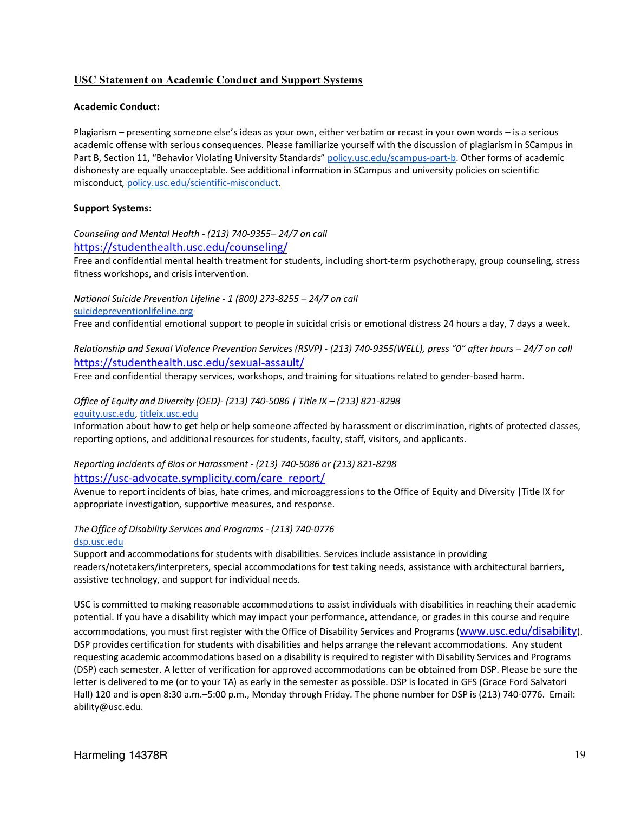#### **USC Statement on Academic Conduct and Support Systems**

#### **Academic Conduct:**

Plagiarism – presenting someone else's ideas as your own, either verbatim or recast in your own words – is a serious academic offense with serious consequences. Please familiarize yourself with the discussion of plagiarism in SCampus in Part B, Section 11, "Behavior Violating University Standards" policy.usc.edu/scampus-part-b. Other forms of academic dishonesty are equally unacceptable. See additional information in SCampus and university policies on scientific misconduct, policy.usc.edu/scientific-misconduct.

#### **Support Systems:**

*Counseling and Mental Health - (213) 740-9355– 24/7 on call* https://studenthealth.usc.edu/counseling/

Free and confidential mental health treatment for students, including short-term psychotherapy, group counseling, stress fitness workshops, and crisis intervention.

*National Suicide Prevention Lifeline - 1 (800) 273-8255 – 24/7 on call* suicidepreventionlifeline.org

Free and confidential emotional support to people in suicidal crisis or emotional distress 24 hours a day, 7 days a week.

*Relationship and Sexual Violence Prevention Services (RSVP) - (213) 740-9355(WELL), press "0" after hours – 24/7 on call* https://studenthealth.usc.edu/sexual-assault/

Free and confidential therapy services, workshops, and training for situations related to gender-based harm.

#### *Office of Equity and Diversity (OED)- (213) 740-5086 | Title IX – (213) 821-8298* equity.usc.edu, titleix.usc.edu

Information about how to get help or help someone affected by harassment or discrimination, rights of protected classes, reporting options, and additional resources for students, faculty, staff, visitors, and applicants.

*Reporting Incidents of Bias or Harassment - (213) 740-5086 or (213) 821-8298* https://usc-advocate.symplicity.com/care\_report/

Avenue to report incidents of bias, hate crimes, and microaggressions to the Office of Equity and Diversity |Title IX for appropriate investigation, supportive measures, and response.

*The Office of Disability Services and Programs - (213) 740-0776* dsp.usc.edu

Support and accommodations for students with disabilities. Services include assistance in providing readers/notetakers/interpreters, special accommodations for test taking needs, assistance with architectural barriers, assistive technology, and support for individual needs.

USC is committed to making reasonable accommodations to assist individuals with disabilities in reaching their academic potential. If you have a disability which may impact your performance, attendance, or grades in this course and require accommodations, you must first register with the Office of Disability Services and Programs (www.usc.edu/disability). DSP provides certification for students with disabilities and helps arrange the relevant accommodations. Any student requesting academic accommodations based on a disability is required to register with Disability Services and Programs (DSP) each semester. A letter of verification for approved accommodations can be obtained from DSP. Please be sure the letter is delivered to me (or to your TA) as early in the semester as possible. DSP is located in GFS (Grace Ford Salvatori Hall) 120 and is open 8:30 a.m.–5:00 p.m., Monday through Friday. The phone number for DSP is (213) 740-0776. Email: ability@usc.edu.